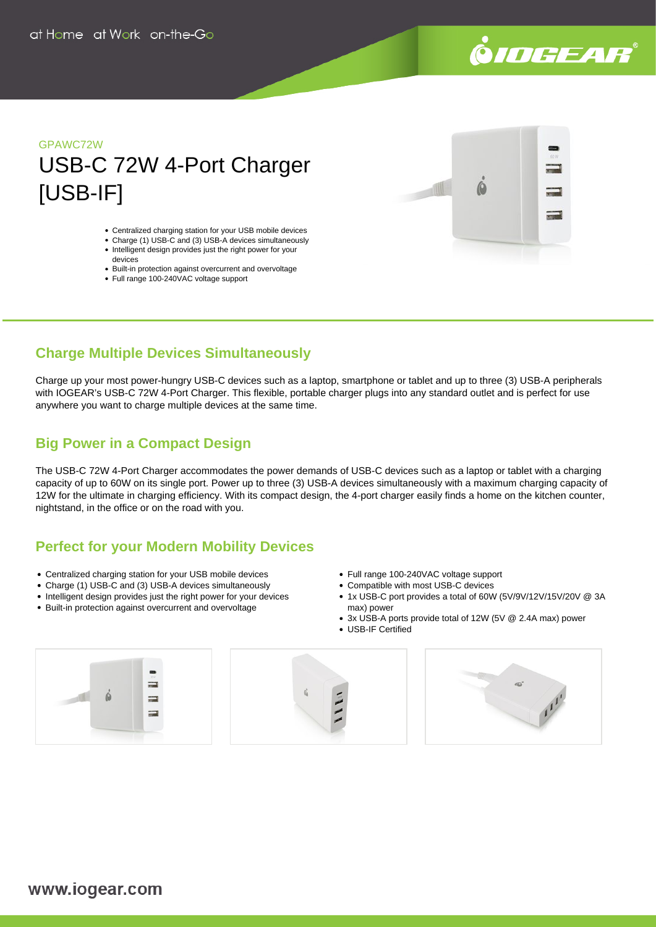

# GPAWC72W USB-C 72W 4-Port Charger [USB-IF]

- Centralized charging station for your USB mobile devices
- Charge (1) USB-C and (3) USB-A devices simultaneously • Intelligent design provides just the right power for your
- devices Built-in protection against overcurrent and overvoltage
- Full range 100-240VAC voltage support
- 



## **Charge Multiple Devices Simultaneously**

Charge up your most power-hungry USB-C devices such as a laptop, smartphone or tablet and up to three (3) USB-A peripherals with IOGEAR's USB-C 72W 4-Port Charger. This flexible, portable charger plugs into any standard outlet and is perfect for use anywhere you want to charge multiple devices at the same time.

## **Big Power in a Compact Design**

The USB-C 72W 4-Port Charger accommodates the power demands of USB-C devices such as a laptop or tablet with a charging capacity of up to 60W on its single port. Power up to three (3) USB-A devices simultaneously with a maximum charging capacity of 12W for the ultimate in charging efficiency. With its compact design, the 4-port charger easily finds a home on the kitchen counter, nightstand, in the office or on the road with you.

## **Perfect for your Modern Mobility Devices**

- Centralized charging station for your USB mobile devices
- Charge (1) USB-C and (3) USB-A devices simultaneously
- Intelligent design provides just the right power for your devices
- Built-in protection against overcurrent and overvoltage
- Full range 100-240VAC voltage support
- Compatible with most USB-C devices
- 1x USB-C port provides a total of 60W (5V/9V/12V/15V/20V @ 3A max) power
- 3x USB-A ports provide total of 12W (5V @ 2.4A max) power
- USB-IF Certified